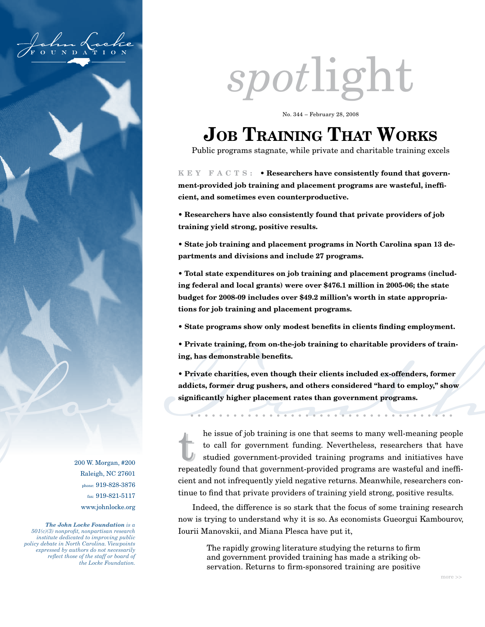

# *spot*light

No. 344 – February 28, 2008

# **Job Training That Works**

Public programs stagnate, while private and charitable training excels

**k e y f a c r s** : • **Researchers have consistently found that government-provided job training and placement programs are wasteful, inefficient, and sometimes even counterproductive.**

**• Researchers have also consistently found that private providers of job training yield strong, positive results.**

**• State job training and placement programs in North Carolina span 13 departments and divisions and include 27 programs.**

**• Total state expenditures on job training and placement programs (including federal and local grants) were over \$476.1 million in 2005-06; the state budget for 2008-09 includes over \$49.2 million's worth in state appropriations for job training and placement programs.**

- **State programs show only modest benefits in clients finding employment.**
- **Private training, from on-the-job training to charitable providers of training, has demonstrable benefits.**

**• Private charities, even though their clients included ex-offenders, former addicts, former drug pushers, and others considered "hard to employ," show significantly higher placement rates than government programs.**

• Private training, from on-the-job training to charitable providers of training, has demonstrable benefits.<br>
• Private charities, even though their clients included ex-offenders, former<br>
addicts, former are addicts, and the issue of job training is one that seems to many wen-meaning people<br>to call for government-provided training programs and initiatives have<br>repeatedly found that government-provided programs are wasteful and ineffito call for government funding. Nevertheless, researchers that have studied government-provided training programs and initiatives have repeatedly found that government-provided programs are wasteful and ineffito call for government funding. Nevertheless, researchers that have studied government-provided training programs and initiatives have cient and not infrequently yield negative returns. Meanwhile, researchers continue to find that private providers of training yield strong, positive results.

> Indeed, the difference is so stark that the focus of some training research now is trying to understand why it is so. As economists Gueorgui Kambourov, Iourii Manovskii, and Miana Plesca have put it,

The rapidly growing literature studying the returns to firm and government provided training has made a striking observation. Returns to firm-sponsored training are positive

200 W. Morgan, #200 Raleigh, NC 27601 phone: 919-828-3876 fax: 919-821-5117 www.johnlocke.org

*The John Locke Foundation is a 501(c)(3) nonprofit, nonpartisan research institute dedicated to improving public policy debate in North Carolina. Viewpoints expressed by authors do not necessarily reflect those of the staff or board of the Locke Foundation.*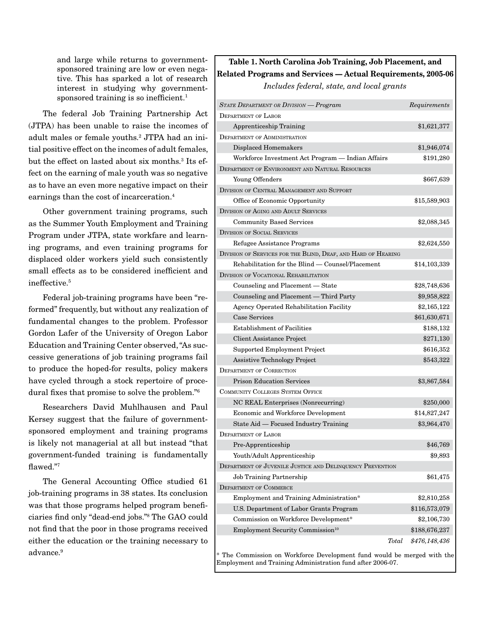and large while returns to governmentsponsored training are low or even negative. This has sparked a lot of research interest in studying why governmentsponsored training is so inefficient.<sup>1</sup>

The federal Job Training Partnership Act (JTPA) has been unable to raise the incomes of adult males or female youths.2 JTPA had an initial positive effect on the incomes of adult females, but the effect on lasted about six months.3 Its effect on the earning of male youth was so negative as to have an even more negative impact on their earnings than the cost of incarceration.4

Other government training programs, such as the Summer Youth Employment and Training Program under JTPA, state workfare and learning programs, and even training programs for displaced older workers yield such consistently small effects as to be considered inefficient and ineffective.5

Federal job-training programs have been "reformed" frequently, but without any realization of fundamental changes to the problem. Professor Gordon Lafer of the University of Oregon Labor Education and Training Center observed, "As successive generations of job training programs fail to produce the hoped-for results, policy makers have cycled through a stock repertoire of procedural fixes that promise to solve the problem."6

Researchers David Muhlhausen and Paul Kersey suggest that the failure of governmentsponsored employment and training programs is likely not managerial at all but instead "that government-funded training is fundamentally flawed."7

The General Accounting Office studied 61 job-training programs in 38 states. Its conclusion was that those programs helped program beneficiaries find only "dead-end jobs."8 The GAO could not find that the poor in those programs received either the education or the training necessary to advance.<sup>9</sup>

## **Table 1. North Carolina Job Training, Job Placement, and Related Programs and Services — Actual Requirements, 2005-06**

*Includes federal, state, and local grants*

| STATE DEPARTMENT OR DIVISION - Program                        | Requirements  |
|---------------------------------------------------------------|---------------|
| <b>DEPARTMENT OF LABOR</b>                                    |               |
| <b>Apprenticeship Training</b>                                | \$1,621,377   |
| <b>DEPARTMENT OF ADMINISTRATION</b>                           |               |
| <b>Displaced Homemakers</b>                                   | \$1,946,074   |
| Workforce Investment Act Program — Indian Affairs             | \$191,280     |
| DEPARTMENT OF ENVIRONMENT AND NATURAL RESOURCES               |               |
| Young Offenders                                               | \$667,639     |
| DIVISION OF CENTRAL MANAGEMENT AND SUPPORT                    |               |
| Office of Economic Opportunity                                | \$15,589,903  |
| DIVISION OF AGING AND ADULT SERVICES                          |               |
| <b>Community Based Services</b>                               | \$2,088,345   |
| <b>DIVISION OF SOCIAL SERVICES</b>                            |               |
| Refugee Assistance Programs                                   | \$2,624,550   |
| DIVISION OF SERVICES FOR THE BLIND, DEAF, AND HARD OF HEARING |               |
| Rehabilitation for the Blind — Counsel/Placement              | \$14,103,339  |
| DIVISION OF VOCATIONAL REHABILITATION                         |               |
| Counseling and Placement - State                              | \$28,748,636  |
| Counseling and Placement - Third Party                        | \$9,958,822   |
| Agency Operated Rehabilitation Facility                       | \$2,165,122   |
| Case Services                                                 | \$61,630,671  |
| <b>Establishment of Facilities</b>                            | \$188,132     |
| <b>Client Assistance Project</b>                              | \$271,130     |
| Supported Employment Project                                  | \$616,352     |
| <b>Assistive Technology Project</b>                           | \$543,322     |
| <b>DEPARTMENT OF CORRECTION</b>                               |               |
| <b>Prison Education Services</b>                              | \$3,867,584   |
| <b>COMMUNITY COLLEGES SYSTEM OFFICE</b>                       |               |
| NC REAL Enterprises (Nonrecurring)                            | \$250,000     |
| Economic and Workforce Development                            | \$14,827,247  |
| State Aid — Focused Industry Training                         | \$3,964,470   |
| <b>DEPARTMENT OF LABOR</b>                                    |               |
| Pre-Apprenticeship                                            | \$46,769      |
| Youth/Adult Apprenticeship                                    | \$9,893       |
| DEPARTMENT OF JUVENILE JUSTICE AND DELINQUENCY PREVENTION     |               |
| Job Training Partnership                                      | \$61,475      |
| DEPARTMENT OF COMMERCE                                        |               |
| Employment and Training Administration*                       | \$2,810,258   |
| U.S. Department of Labor Grants Program                       | \$116,573,079 |
| Commission on Workforce Development*                          | \$2,106,730   |
| Employment Security Commission <sup>10</sup>                  | \$188,676,237 |
| Total                                                         | \$476,148,436 |

\* The Commission on Workforce Development fund would be merged with the Employment and Training Administration fund after 2006-07.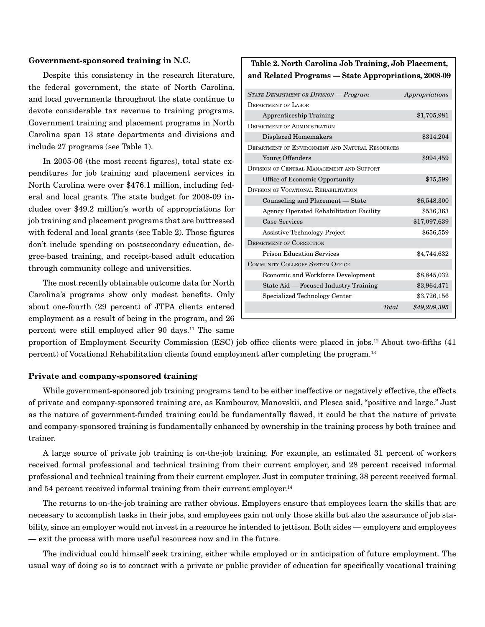#### **Government-sponsored training in N.C.**

Despite this consistency in the research literature, the federal government, the state of North Carolina, and local governments throughout the state continue to devote considerable tax revenue to training programs. Government training and placement programs in North Carolina span 13 state departments and divisions and include 27 programs (see Table 1).

In 2005-06 (the most recent figures), total state expenditures for job training and placement services in North Carolina were over \$476.1 million, including federal and local grants. The state budget for 2008-09 includes over \$49.2 million's worth of appropriations for job training and placement programs that are buttressed with federal and local grants (see Table 2). Those figures don't include spending on postsecondary education, degree-based training, and receipt-based adult education through community college and universities.

The most recently obtainable outcome data for North Carolina's programs show only modest benefits. Only about one-fourth (29 percent) of JTPA clients entered employment as a result of being in the program, and 26 percent were still employed after 90 days.<sup>11</sup> The same

### **Table 2. North Carolina Job Training, Job Placement, and Related Programs — State Appropriations, 2008-09**

| <b>STATE DEPARTMENT OR DIVISION - Program</b>   | Appropriations |
|-------------------------------------------------|----------------|
| <b>DEPARTMENT OF LABOR</b>                      |                |
| <b>Apprenticeship Training</b>                  | \$1,705,981    |
| <b>DEPARTMENT OF ADMINISTRATION</b>             |                |
| Displaced Homemakers                            | \$314,204      |
| DEPARTMENT OF ENVIRONMENT AND NATURAL RESOURCES |                |
| Young Offenders                                 | \$994,459      |
| DIVISION OF CENTRAL MANAGEMENT AND SUPPORT      |                |
| Office of Economic Opportunity                  | \$75,599       |
| DIVISION OF VOCATIONAL REHABILITATION           |                |
| Counseling and Placement — State                | \$6,548,300    |
| Agency Operated Rehabilitation Facility         | \$536,363      |
| Case Services                                   | \$17,097,639   |
| <b>Assistive Technology Project</b>             | \$656,559      |
| <b>DEPARTMENT OF CORRECTION</b>                 |                |
| <b>Prison Education Services</b>                | \$4,744,632    |
| <b>COMMUNITY COLLEGES SYSTEM OFFICE</b>         |                |
| Economic and Workforce Development              | \$8,845,032    |
| State Aid - Focused Industry Training           | \$3,964,471    |
| Specialized Technology Center                   | \$3,726,156    |
| <b>Total</b>                                    | \$49,209,395   |

proportion of Employment Security Commission (ESC) job office clients were placed in jobs.12 About two-fifths (41 percent) of Vocational Rehabilitation clients found employment after completing the program.13

#### **Private and company-sponsored training**

While government-sponsored job training programs tend to be either ineffective or negatively effective, the effects of private and company-sponsored training are, as Kambourov, Manovskii, and Plesca said, "positive and large." Just as the nature of government-funded training could be fundamentally flawed, it could be that the nature of private and company-sponsored training is fundamentally enhanced by ownership in the training process by both trainee and trainer.

A large source of private job training is on-the-job training. For example, an estimated 31 percent of workers received formal professional and technical training from their current employer, and 28 percent received informal professional and technical training from their current employer. Just in computer training, 38 percent received formal and 54 percent received informal training from their current employer.<sup>14</sup>

The returns to on-the-job training are rather obvious. Employers ensure that employees learn the skills that are necessary to accomplish tasks in their jobs, and employees gain not only those skills but also the assurance of job stability, since an employer would not invest in a resource he intended to jettison. Both sides — employers and employees — exit the process with more useful resources now and in the future.

The individual could himself seek training, either while employed or in anticipation of future employment. The usual way of doing so is to contract with a private or public provider of education for specifically vocational training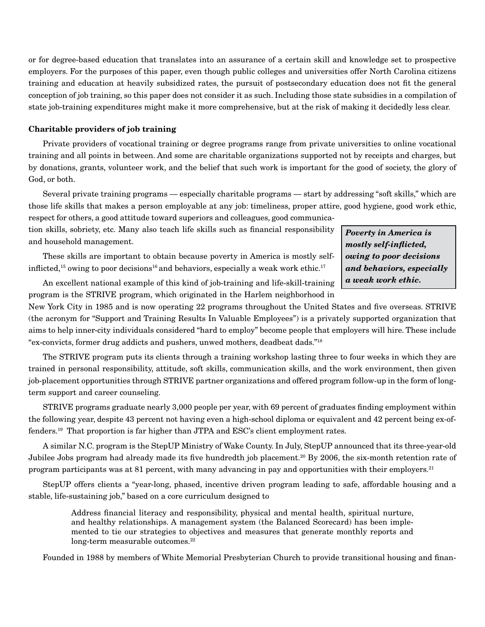or for degree-based education that translates into an assurance of a certain skill and knowledge set to prospective employers. For the purposes of this paper, even though public colleges and universities offer North Carolina citizens training and education at heavily subsidized rates, the pursuit of postsecondary education does not fit the general conception of job training, so this paper does not consider it as such. Including those state subsidies in a compilation of state job-training expenditures might make it more comprehensive, but at the risk of making it decidedly less clear.

#### **Charitable providers of job training**

Private providers of vocational training or degree programs range from private universities to online vocational training and all points in between. And some are charitable organizations supported not by receipts and charges, but by donations, grants, volunteer work, and the belief that such work is important for the good of society, the glory of God, or both.

Several private training programs — especially charitable programs — start by addressing "soft skills," which are those life skills that makes a person employable at any job: timeliness, proper attire, good hygiene, good work ethic, respect for others, a good attitude toward superiors and colleagues, good communica-

tion skills, sobriety, etc. Many also teach life skills such as financial responsibility and household management.

These skills are important to obtain because poverty in America is mostly selfinflicted,<sup>15</sup> owing to poor decisions<sup>16</sup> and behaviors, especially a weak work ethic.<sup>17</sup>

*Poverty in America is mostly self-inflicted, owing to poor decisions and behaviors, especially a weak work ethic.* 

An excellent national example of this kind of job-training and life-skill-training program is the STRIVE program, which originated in the Harlem neighborhood in

New York City in 1985 and is now operating 22 programs throughout the United States and five overseas. STRIVE (the acronym for "Support and Training Results In Valuable Employees") is a privately supported organization that aims to help inner-city individuals considered "hard to employ" become people that employers will hire. These include "ex-convicts, former drug addicts and pushers, unwed mothers, deadbeat dads."18

The STRIVE program puts its clients through a training workshop lasting three to four weeks in which they are trained in personal responsibility, attitude, soft skills, communication skills, and the work environment, then given job-placement opportunities through STRIVE partner organizations and offered program follow-up in the form of longterm support and career counseling.

STRIVE programs graduate nearly 3,000 people per year, with 69 percent of graduates finding employment within the following year, despite 43 percent not having even a high-school diploma or equivalent and 42 percent being ex-offenders.19 That proportion is far higher than JTPA and ESC's client employment rates.

A similar N.C. program is the StepUP Ministry of Wake County. In July, StepUP announced that its three-year-old Jubilee Jobs program had already made its five hundredth job placement.<sup>20</sup> By 2006, the six-month retention rate of program participants was at 81 percent, with many advancing in pay and opportunities with their employers.21

StepUP offers clients a "year-long, phased, incentive driven program leading to safe, affordable housing and a stable, life-sustaining job," based on a core curriculum designed to

> Address financial literacy and responsibility, physical and mental health, spiritual nurture, and healthy relationships. A management system (the Balanced Scorecard) has been implemented to tie our strategies to objectives and measures that generate monthly reports and long-term measurable outcomes.<sup>22</sup>

Founded in 1988 by members of White Memorial Presbyterian Church to provide transitional housing and finan-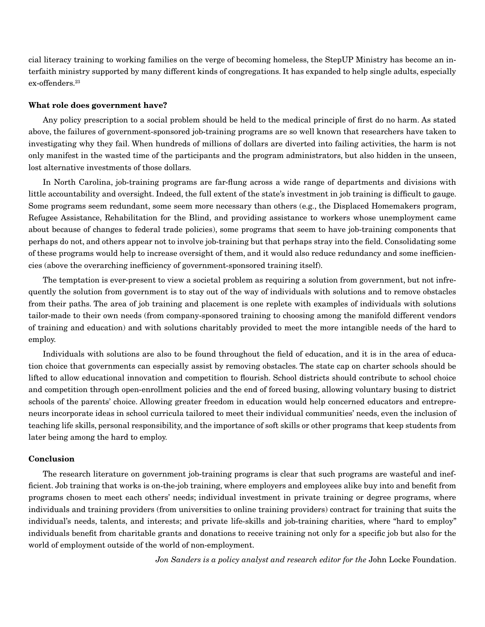cial literacy training to working families on the verge of becoming homeless, the StepUP Ministry has become an interfaith ministry supported by many different kinds of congregations. It has expanded to help single adults, especially ex-offenders.<sup>23</sup>

#### **What role does government have?**

Any policy prescription to a social problem should be held to the medical principle of first do no harm. As stated above, the failures of government-sponsored job-training programs are so well known that researchers have taken to investigating why they fail. When hundreds of millions of dollars are diverted into failing activities, the harm is not only manifest in the wasted time of the participants and the program administrators, but also hidden in the unseen, lost alternative investments of those dollars.

In North Carolina, job-training programs are far-flung across a wide range of departments and divisions with little accountability and oversight. Indeed, the full extent of the state's investment in job training is difficult to gauge. Some programs seem redundant, some seem more necessary than others (e.g., the Displaced Homemakers program, Refugee Assistance, Rehabilitation for the Blind, and providing assistance to workers whose unemployment came about because of changes to federal trade policies), some programs that seem to have job-training components that perhaps do not, and others appear not to involve job-training but that perhaps stray into the field. Consolidating some of these programs would help to increase oversight of them, and it would also reduce redundancy and some inefficiencies (above the overarching inefficiency of government-sponsored training itself).

The temptation is ever-present to view a societal problem as requiring a solution from government, but not infrequently the solution from government is to stay out of the way of individuals with solutions and to remove obstacles from their paths. The area of job training and placement is one replete with examples of individuals with solutions tailor-made to their own needs (from company-sponsored training to choosing among the manifold different vendors of training and education) and with solutions charitably provided to meet the more intangible needs of the hard to employ.

Individuals with solutions are also to be found throughout the field of education, and it is in the area of education choice that governments can especially assist by removing obstacles. The state cap on charter schools should be lifted to allow educational innovation and competition to flourish. School districts should contribute to school choice and competition through open-enrollment policies and the end of forced busing, allowing voluntary busing to district schools of the parents' choice. Allowing greater freedom in education would help concerned educators and entrepreneurs incorporate ideas in school curricula tailored to meet their individual communities' needs, even the inclusion of teaching life skills, personal responsibility, and the importance of soft skills or other programs that keep students from later being among the hard to employ.

#### **Conclusion**

The research literature on government job-training programs is clear that such programs are wasteful and inefficient. Job training that works is on-the-job training, where employers and employees alike buy into and benefit from programs chosen to meet each others' needs; individual investment in private training or degree programs, where individuals and training providers (from universities to online training providers) contract for training that suits the individual's needs, talents, and interests; and private life-skills and job-training charities, where "hard to employ" individuals benefit from charitable grants and donations to receive training not only for a specific job but also for the world of employment outside of the world of non-employment.

*Jon Sanders is a policy analyst and research editor for the John Locke Foundation.*